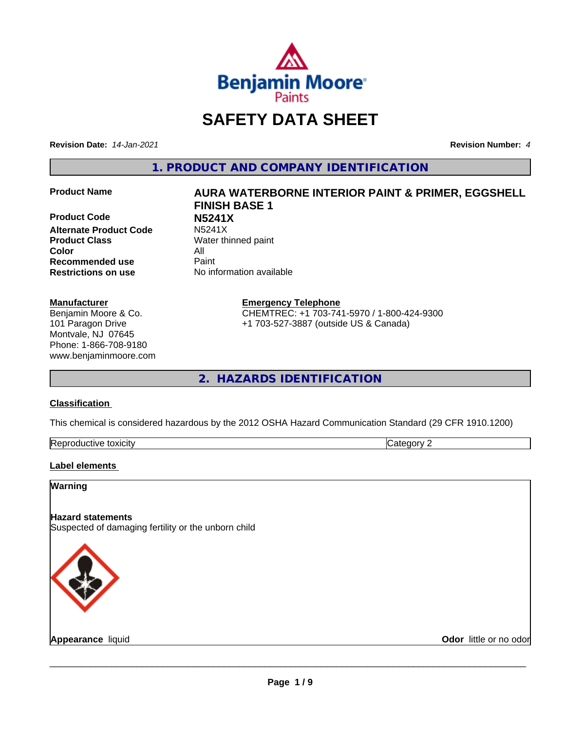

# **SAFETY DATA SHEET**

**Revision Date:** *14-Jan-2021* **Revision Number:** *4*

**1. PRODUCT AND COMPANY IDENTIFICATION**

**Product Code N5241X Alternate Product Code Product Class** Water thinned paint **Color** All **Recommended use** Paint **Restrictions on use** No information available

#### **Manufacturer**

Benjamin Moore & Co. 101 Paragon Drive Montvale, NJ 07645 Phone: 1-866-708-9180 www.benjaminmoore.com

# **Product Name AURA WATERBORNE INTERIOR PAINT & PRIMER, EGGSHELL FINISH BASE 1**

**Emergency Telephone**

CHEMTREC: +1 703-741-5970 / 1-800-424-9300 +1 703-527-3887 (outside US & Canada)

**2. HAZARDS IDENTIFICATION**

#### **Classification**

This chemical is considered hazardous by the 2012 OSHA Hazard Communication Standard (29 CFR 1910.1200)

| -<br>Repr<br>toxicity | - - -<br>. זרי<br>.<br> |
|-----------------------|-------------------------|

# **Label elements**

# **Warning**

# **Hazard statements**

Suspected of damaging fertility or the unborn child



**Appearance** liquid **Contract Contract Contract Contract Contract Contract Contract Contract Contract Contract Contract Contract Contract Contract Contract Contract Contract Contract Contract Contract Contract Contract Con**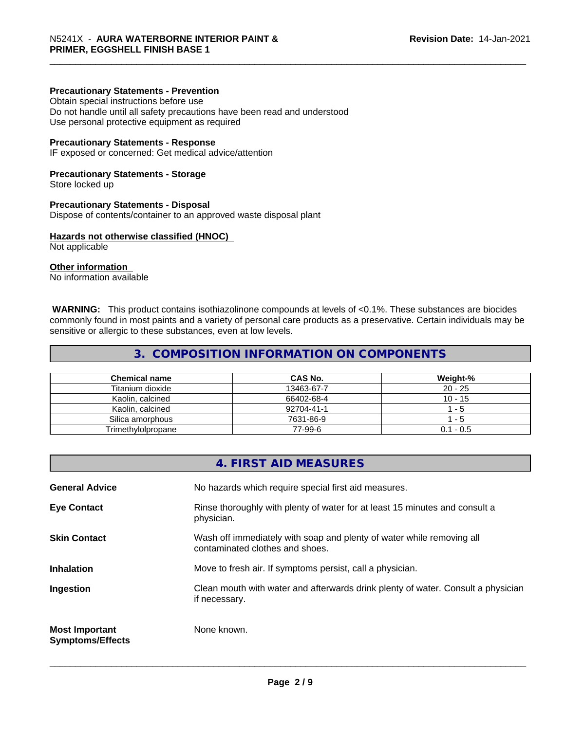### **Precautionary Statements - Prevention**

Obtain special instructions before use Do not handle until all safety precautions have been read and understood Use personal protective equipment as required

#### **Precautionary Statements - Response**

IF exposed or concerned: Get medical advice/attention

#### **Precautionary Statements - Storage**

Store locked up

#### **Precautionary Statements - Disposal**

Dispose of contents/container to an approved waste disposal plant

#### **Hazards not otherwise classified (HNOC)**

Not applicable

#### **Other information**

No information available

 **WARNING:** This product contains isothiazolinone compounds at levels of <0.1%. These substances are biocides commonly found in most paints and a variety of personal care products as a preservative. Certain individuals may be sensitive or allergic to these substances, even at low levels.

# **3. COMPOSITION INFORMATION ON COMPONENTS**

| <b>Chemical name</b> | CAS No.    | Weight-%    |
|----------------------|------------|-------------|
| Titanium dioxide     | 13463-67-7 | $20 - 25$   |
| Kaolin, calcined     | 66402-68-4 | $10 - 15$   |
| Kaolin, calcined     | 92704-41-1 | - 5         |
| Silica amorphous     | 7631-86-9  | - 5         |
| Trimethylolpropane   | 77-99-6    | $0.1 - 0.5$ |

|                                                  | 4. FIRST AID MEASURES                                                                                    |
|--------------------------------------------------|----------------------------------------------------------------------------------------------------------|
| <b>General Advice</b>                            | No hazards which require special first aid measures.                                                     |
| <b>Eye Contact</b>                               | Rinse thoroughly with plenty of water for at least 15 minutes and consult a<br>physician.                |
| <b>Skin Contact</b>                              | Wash off immediately with soap and plenty of water while removing all<br>contaminated clothes and shoes. |
| <b>Inhalation</b>                                | Move to fresh air. If symptoms persist, call a physician.                                                |
| Ingestion                                        | Clean mouth with water and afterwards drink plenty of water. Consult a physician<br>if necessary.        |
| <b>Most Important</b><br><b>Symptoms/Effects</b> | None known.                                                                                              |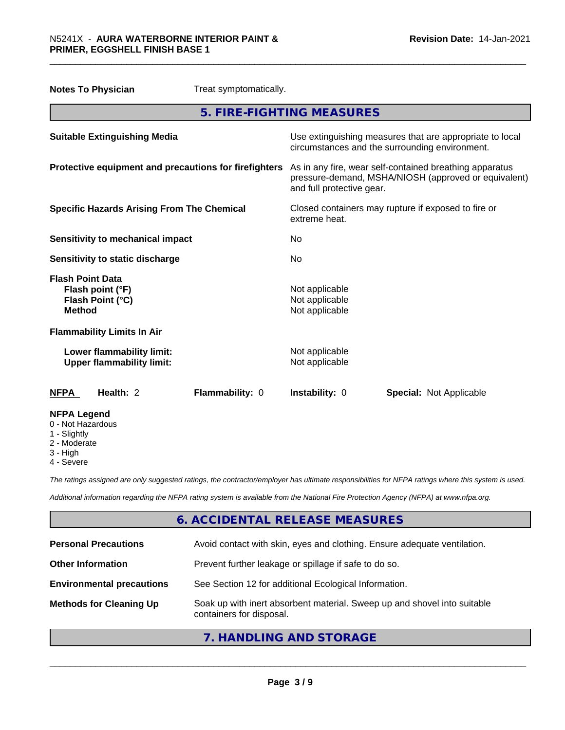| Treat symptomatically.<br><b>Notes To Physician</b>                              |                                                                                                                                              |  |
|----------------------------------------------------------------------------------|----------------------------------------------------------------------------------------------------------------------------------------------|--|
|                                                                                  | 5. FIRE-FIGHTING MEASURES                                                                                                                    |  |
| <b>Suitable Extinguishing Media</b>                                              | Use extinguishing measures that are appropriate to local<br>circumstances and the surrounding environment.                                   |  |
| Protective equipment and precautions for firefighters                            | As in any fire, wear self-contained breathing apparatus<br>pressure-demand, MSHA/NIOSH (approved or equivalent)<br>and full protective gear. |  |
| <b>Specific Hazards Arising From The Chemical</b>                                | Closed containers may rupture if exposed to fire or<br>extreme heat.                                                                         |  |
| <b>Sensitivity to mechanical impact</b>                                          | No                                                                                                                                           |  |
| Sensitivity to static discharge                                                  | No                                                                                                                                           |  |
| <b>Flash Point Data</b><br>Flash point (°F)<br>Flash Point (°C)<br><b>Method</b> | Not applicable<br>Not applicable<br>Not applicable                                                                                           |  |
| <b>Flammability Limits In Air</b>                                                |                                                                                                                                              |  |
| Lower flammability limit:<br><b>Upper flammability limit:</b>                    | Not applicable<br>Not applicable                                                                                                             |  |
| Health: 2<br>Flammability: 0<br><b>NFPA</b>                                      | Instability: 0<br><b>Special: Not Applicable</b>                                                                                             |  |
| <b>NFPA Legend</b><br>0 - Not Hazardous<br>1 - Slightly                          |                                                                                                                                              |  |

- 2 Moderate
- 3 High
- 4 Severe

*The ratings assigned are only suggested ratings, the contractor/employer has ultimate responsibilities for NFPA ratings where this system is used.*

*Additional information regarding the NFPA rating system is available from the National Fire Protection Agency (NFPA) at www.nfpa.org.*

# **6. ACCIDENTAL RELEASE MEASURES**

| <b>Personal Precautions</b>      | Avoid contact with skin, eyes and clothing. Ensure adequate ventilation.                             |
|----------------------------------|------------------------------------------------------------------------------------------------------|
| <b>Other Information</b>         | Prevent further leakage or spillage if safe to do so.                                                |
| <b>Environmental precautions</b> | See Section 12 for additional Ecological Information.                                                |
| <b>Methods for Cleaning Up</b>   | Soak up with inert absorbent material. Sweep up and shovel into suitable<br>containers for disposal. |

**7. HANDLING AND STORAGE**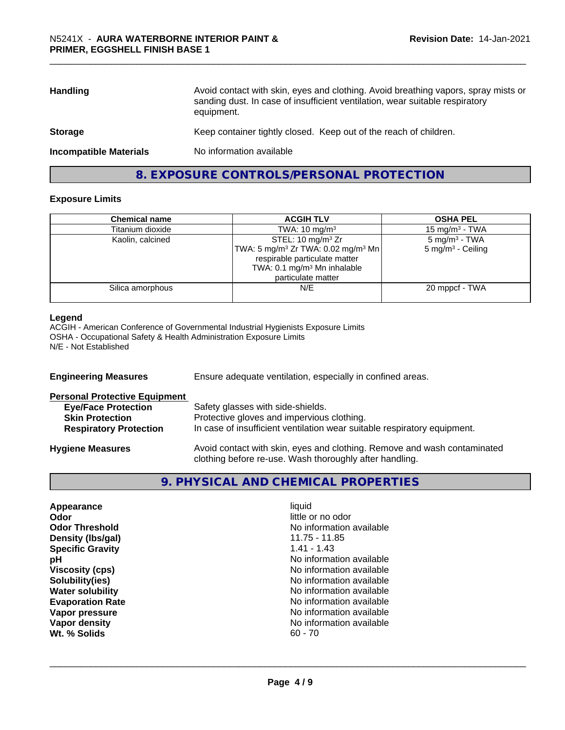| Avoid contact with skin, eyes and clothing. Avoid breathing vapors, spray mists or<br><b>Handling</b><br>sanding dust. In case of insufficient ventilation, wear suitable respiratory<br>equipment. |                                                                   |
|-----------------------------------------------------------------------------------------------------------------------------------------------------------------------------------------------------|-------------------------------------------------------------------|
| <b>Storage</b>                                                                                                                                                                                      | Keep container tightly closed. Keep out of the reach of children. |
| <b>Incompatible Materials</b>                                                                                                                                                                       | No information available                                          |

**8. EXPOSURE CONTROLS/PERSONAL PROTECTION**

#### **Exposure Limits**

| <b>Chemical name</b> | <b>ACGIH TLV</b>                                           | <b>OSHA PEL</b>              |
|----------------------|------------------------------------------------------------|------------------------------|
| Titanium dioxide     | TWA: $10 \text{ mg/m}^3$                                   | 15 mg/m $3$ - TWA            |
| Kaolin, calcined     | STEL: 10 mg/m $3$ Zr                                       | $5 \text{ mg/m}^3$ - TWA     |
|                      | TWA: 5 mg/m <sup>3</sup> Zr TWA: 0.02 mg/m <sup>3</sup> Mn | $5 \text{ mg/m}^3$ - Ceiling |
|                      | respirable particulate matter                              |                              |
|                      | TWA: $0.1 \text{ mg/m}^3$ Mn inhalable                     |                              |
|                      | particulate matter                                         |                              |
| Silica amorphous     | N/E                                                        | 20 mppcf - TWA               |
|                      |                                                            |                              |

#### **Legend**

ACGIH - American Conference of Governmental Industrial Hygienists Exposure Limits OSHA - Occupational Safety & Health Administration Exposure Limits N/E - Not Established

| <b>Engineering Measures</b>          | Ensure adequate ventilation, especially in confined areas.                                                                          |  |
|--------------------------------------|-------------------------------------------------------------------------------------------------------------------------------------|--|
| <b>Personal Protective Equipment</b> |                                                                                                                                     |  |
| <b>Eye/Face Protection</b>           | Safety glasses with side-shields.                                                                                                   |  |
| <b>Skin Protection</b>               | Protective gloves and impervious clothing.                                                                                          |  |
| <b>Respiratory Protection</b>        | In case of insufficient ventilation wear suitable respiratory equipment.                                                            |  |
| <b>Hygiene Measures</b>              | Avoid contact with skin, eyes and clothing. Remove and wash contaminated<br>clothing before re-use. Wash thoroughly after handling. |  |

# **9. PHYSICAL AND CHEMICAL PROPERTIES**

| Appearance<br>Odor<br><b>Odor Threshold</b><br>Density (Ibs/gal)<br><b>Specific Gravity</b><br>рH<br><b>Viscosity (cps)</b><br>Solubility(ies)<br><b>Water solubility</b><br><b>Evaporation Rate</b><br>Vapor pressure<br>Vapor density<br>Wt. % Solids | liquid<br>little or no odor<br>No information available<br>11.75 - 11.85<br>$1.41 - 1.43$<br>No information available<br>No information available<br>No information available<br>No information available<br>No information available<br>No information available<br>No information available<br>$60 - 70$ |  |
|---------------------------------------------------------------------------------------------------------------------------------------------------------------------------------------------------------------------------------------------------------|------------------------------------------------------------------------------------------------------------------------------------------------------------------------------------------------------------------------------------------------------------------------------------------------------------|--|
|---------------------------------------------------------------------------------------------------------------------------------------------------------------------------------------------------------------------------------------------------------|------------------------------------------------------------------------------------------------------------------------------------------------------------------------------------------------------------------------------------------------------------------------------------------------------------|--|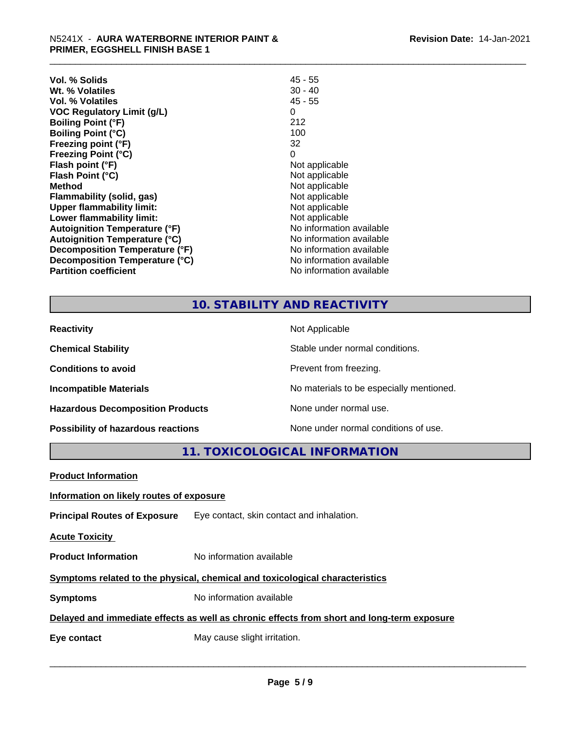| Vol. % Solids                        | $45 - 55$                |
|--------------------------------------|--------------------------|
| Wt. % Volatiles                      | $30 - 40$                |
| Vol. % Volatiles                     | $45 - 55$                |
| <b>VOC Regulatory Limit (g/L)</b>    | 0                        |
| <b>Boiling Point (°F)</b>            | 212                      |
| <b>Boiling Point (°C)</b>            | 100                      |
| Freezing point (°F)                  | 32                       |
| <b>Freezing Point (°C)</b>           | 0                        |
| Flash point (°F)                     | Not applicable           |
| Flash Point (°C)                     | Not applicable           |
| <b>Method</b>                        | Not applicable           |
| Flammability (solid, gas)            | Not applicable           |
| <b>Upper flammability limit:</b>     | Not applicable           |
| Lower flammability limit:            | Not applicable           |
| <b>Autoignition Temperature (°F)</b> | No information available |
| <b>Autoignition Temperature (°C)</b> | No information available |
| Decomposition Temperature (°F)       | No information available |
| Decomposition Temperature (°C)       | No information available |
| <b>Partition coefficient</b>         | No information available |

# **10. STABILITY AND REACTIVITY**

| <b>Reactivity</b>                         | Not Applicable                           |
|-------------------------------------------|------------------------------------------|
| <b>Chemical Stability</b>                 | Stable under normal conditions.          |
| <b>Conditions to avoid</b>                | Prevent from freezing.                   |
| <b>Incompatible Materials</b>             | No materials to be especially mentioned. |
| <b>Hazardous Decomposition Products</b>   | None under normal use.                   |
| <b>Possibility of hazardous reactions</b> | None under normal conditions of use.     |

**11. TOXICOLOGICAL INFORMATION**

| <b>Product Information</b>                                                                 |                                                                               |  |  |
|--------------------------------------------------------------------------------------------|-------------------------------------------------------------------------------|--|--|
| Information on likely routes of exposure                                                   |                                                                               |  |  |
|                                                                                            | <b>Principal Routes of Exposure</b> Eye contact, skin contact and inhalation. |  |  |
| <b>Acute Toxicity</b>                                                                      |                                                                               |  |  |
| <b>Product Information</b>                                                                 | No information available                                                      |  |  |
| Symptoms related to the physical, chemical and toxicological characteristics               |                                                                               |  |  |
| <b>Symptoms</b>                                                                            | No information available                                                      |  |  |
| Delayed and immediate effects as well as chronic effects from short and long-term exposure |                                                                               |  |  |
| Eye contact                                                                                | May cause slight irritation.                                                  |  |  |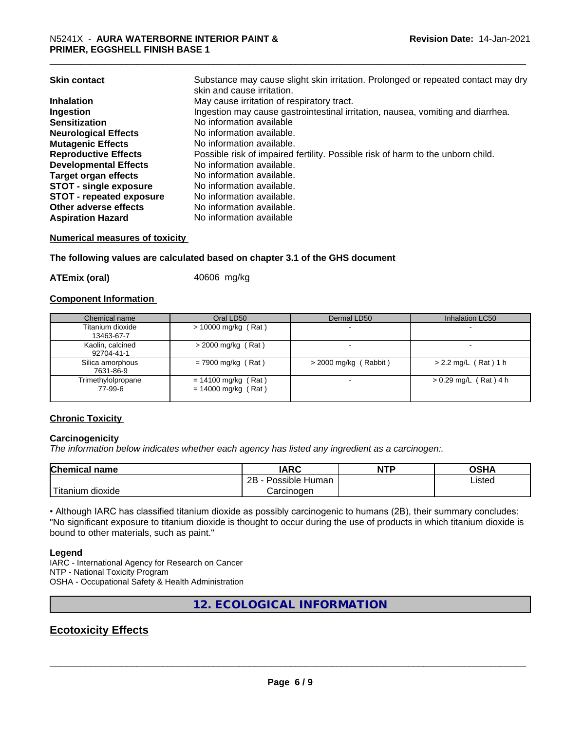| <b>Skin contact</b>           | Substance may cause slight skin irritation. Prolonged or repeated contact may dry |
|-------------------------------|-----------------------------------------------------------------------------------|
|                               | skin and cause irritation.                                                        |
| <b>Inhalation</b>             | May cause irritation of respiratory tract.                                        |
| Ingestion                     | Ingestion may cause gastrointestinal irritation, nausea, vomiting and diarrhea.   |
| <b>Sensitization</b>          | No information available                                                          |
| <b>Neurological Effects</b>   | No information available.                                                         |
| <b>Mutagenic Effects</b>      | No information available.                                                         |
| <b>Reproductive Effects</b>   | Possible risk of impaired fertility. Possible risk of harm to the unborn child.   |
| <b>Developmental Effects</b>  | No information available.                                                         |
| <b>Target organ effects</b>   | No information available.                                                         |
| <b>STOT - single exposure</b> | No information available.                                                         |
| STOT - repeated exposure      | No information available.                                                         |
| Other adverse effects         | No information available.                                                         |
| <b>Aspiration Hazard</b>      | No information available                                                          |
|                               |                                                                                   |

**Numerical measures of toxicity**

**The following values are calculated based on chapter 3.1 of the GHS document**

**ATEmix (oral)** 40606 mg/kg

#### **Component Information**

| Chemical name                  | Oral LD50                                      | Dermal LD50             | Inhalation LC50         |
|--------------------------------|------------------------------------------------|-------------------------|-------------------------|
| Titanium dioxide<br>13463-67-7 | $> 10000$ mg/kg (Rat)                          |                         |                         |
| Kaolin, calcined<br>92704-41-1 | $>$ 2000 mg/kg (Rat)                           |                         |                         |
| Silica amorphous<br>7631-86-9  | $= 7900$ mg/kg (Rat)                           | $>$ 2000 mg/kg (Rabbit) | $> 2.2$ mg/L (Rat) 1 h  |
| Trimethylolpropane<br>77-99-6  | $= 14100$ mg/kg (Rat)<br>$= 14000$ mg/kg (Rat) |                         | $> 0.29$ mg/L (Rat) 4 h |

# **Chronic Toxicity**

#### **Carcinogenicity**

*The information below indicateswhether each agency has listed any ingredient as a carcinogen:.*

| <b>Chemical name</b>             | <b>IARC</b>                      | <b>NTP</b> | <b>OCUA</b><br>∪אח |
|----------------------------------|----------------------------------|------------|--------------------|
|                                  | . .<br>2B<br>: Human<br>Possible |            | Listed             |
| .<br>. dioxide<br><b>itanium</b> | Carcinogen                       |            |                    |

• Although IARC has classified titanium dioxide as possibly carcinogenic to humans (2B), their summary concludes: "No significant exposure to titanium dioxide is thought to occur during the use of products in which titanium dioxide is bound to other materials, such as paint."

#### **Legend**

IARC - International Agency for Research on Cancer NTP - National Toxicity Program OSHA - Occupational Safety & Health Administration

**12. ECOLOGICAL INFORMATION**

# **Ecotoxicity Effects**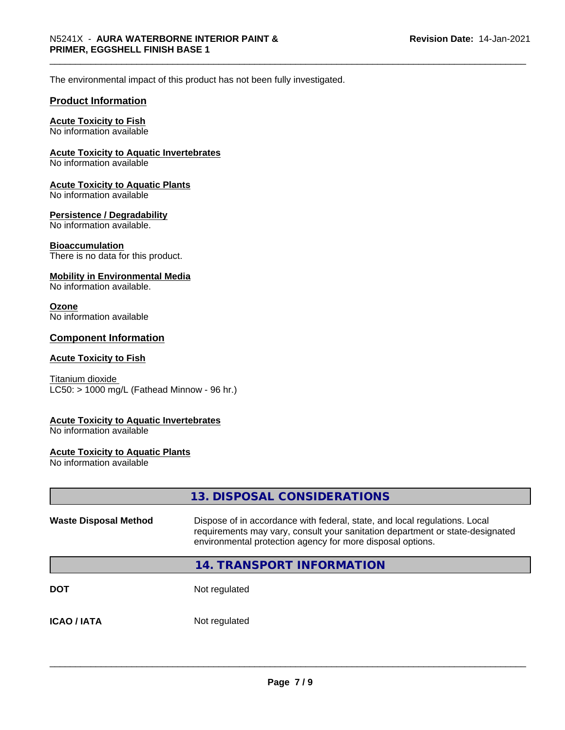The environmental impact of this product has not been fully investigated.

#### **Product Information**

### **Acute Toxicity to Fish**

No information available

#### **Acute Toxicity to Aquatic Invertebrates**

No information available

#### **Acute Toxicity to Aquatic Plants**

No information available

#### **Persistence / Degradability**

No information available.

#### **Bioaccumulation**

There is no data for this product.

#### **Mobility in Environmental Media**

No information available.

#### **Ozone**

No information available

#### **Component Information**

#### **Acute Toxicity to Fish**

Titanium dioxide  $LC50:$  > 1000 mg/L (Fathead Minnow - 96 hr.)

#### **Acute Toxicity to Aquatic Invertebrates**

No information available

#### **Acute Toxicity to Aquatic Plants**

No information available

# **13. DISPOSAL CONSIDERATIONS Waste Disposal Method** Dispose of in accordance with federal, state, and local regulations. Local requirements may vary, consult your sanitation department or state-designated environmental protection agency for more disposal options. **14. TRANSPORT INFORMATION DOT** Not regulated **ICAO / IATA** Not regulated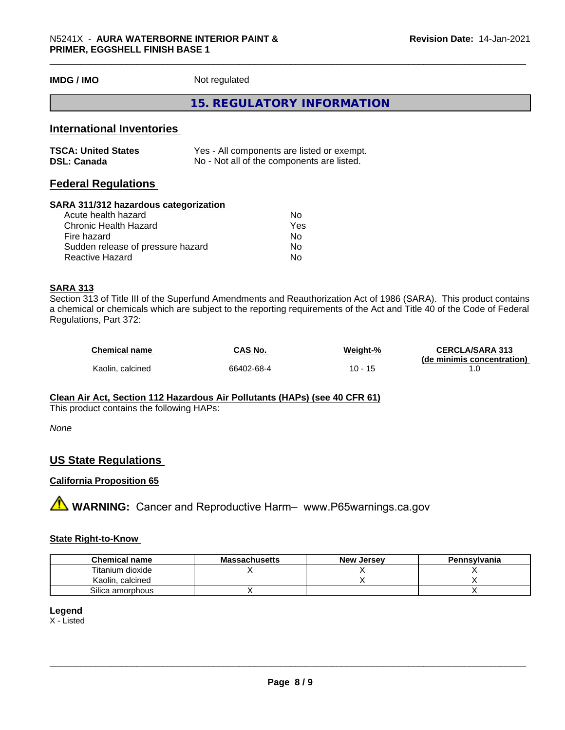**IMDG / IMO** Not regulated

### **15. REGULATORY INFORMATION**

# **International Inventories**

| <b>TSCA: United States</b> | Yes - All components are listed or exempt. |
|----------------------------|--------------------------------------------|
| <b>DSL: Canada</b>         | No - Not all of the components are listed. |

# **Federal Regulations**

#### **SARA 311/312 hazardous categorization**

| No  |
|-----|
| Yes |
| N٥  |
| Nο  |
| N٥  |
|     |

### **SARA 313**

Section 313 of Title III of the Superfund Amendments and Reauthorization Act of 1986 (SARA). This product contains a chemical or chemicals which are subject to the reporting requirements of the Act and Title 40 of the Code of Federal Regulations, Part 372:

| <b>Chemical name</b> | CAS No.    | Weight-%      | <b>CERCLA/SARA 313</b>     |
|----------------------|------------|---------------|----------------------------|
|                      |            |               | (de minimis concentration) |
| Kaolin, calcined     | 66402-68-4 | $10 -$<br>-15 |                            |

#### **Clean Air Act,Section 112 Hazardous Air Pollutants (HAPs) (see 40 CFR 61)**

This product contains the following HAPs:

*None*

# **US State Regulations**

#### **California Proposition 65**

**A WARNING:** Cancer and Reproductive Harm– www.P65warnings.ca.gov

## **State Right-to-Know**

| <b>Chemical name</b> | <b>Massachusetts</b> | <b>New Jersey</b> | Pennsylvania |
|----------------------|----------------------|-------------------|--------------|
| Titanium dioxide     |                      |                   |              |
| Kaolin, calcined     |                      |                   |              |
| Silica amorphous     |                      |                   |              |

#### **Legend**

X - Listed